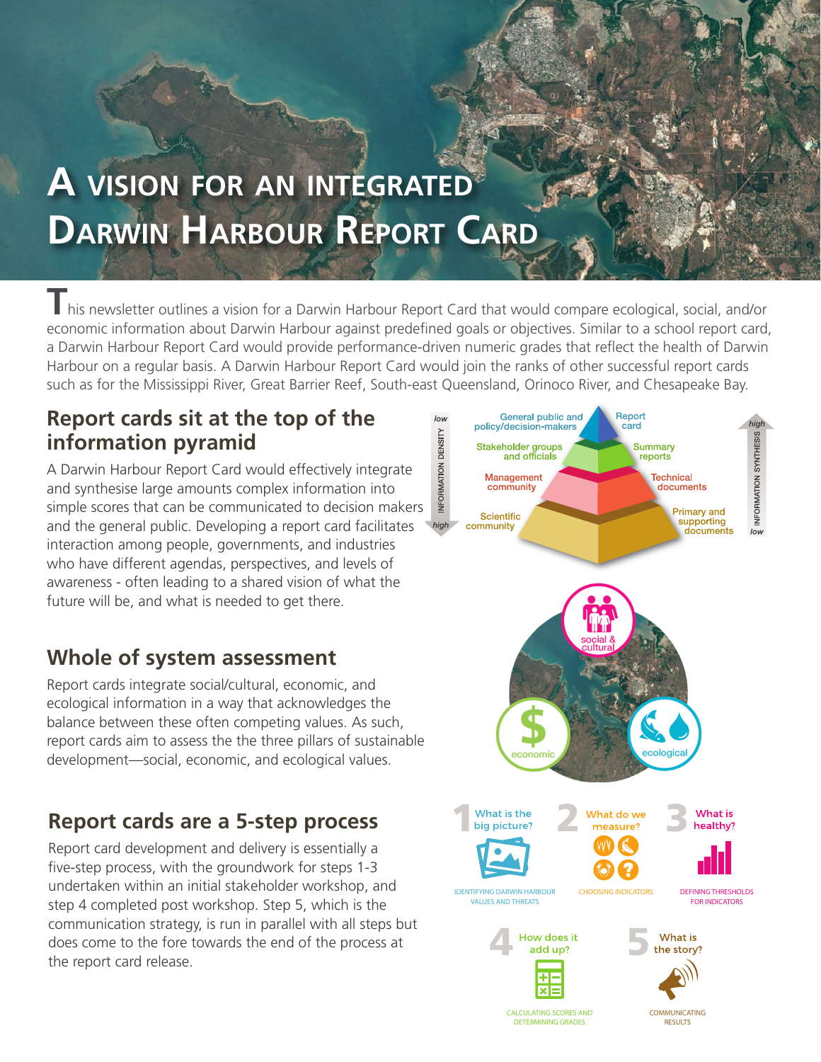# **A vision for an integrated Darwin Harbour Report Card**

**T**his newsletter outlines a vision for a Darwin Harbour Report Card that would compare ecological, social, and/or economic information about Darwin Harbour against predefined goals or objectives. Similar to a school report card, a Darwin Harbour Report Card would provide performance-driven numeric grades that reflect the health of Darwin Harbour on a regular basis. A Darwin Harbour Report Card would join the ranks of other successful report cards such as for the Mississippi River, Great Barrier Reef, South-east Queensland, Orinoco River, and Chesapeake Bay.

#### **Report cards sit at the top of the information pyramid**

A Darwin Harbour Report Card would effectively integrate and synthesise large amounts complex information into simple scores that can be communicated to decision makers and the general public. Developing a report card facilitates interaction among people, governments, and industries who have different agendas, perspectives, and levels of awareness - often leading to a shared vision of what the future will be, and what is needed to get there.

## **Whole of system assessment**

Report cards integrate social/cultural, economic, and ecological information in a way that acknowledges the balance between these often competing values. As such, report cards aim to assess the the three pillars of sustainable development—social, economic, and ecological values.

## **Report cards are a 5-step process**

Report card development and delivery is essentially a five-step process, with the groundwork for steps 1-3 undertaken within an initial stakeholder workshop, and step 4 completed post workshop. Step 5, which is the communication strategy, is run in parallel with all steps but does come to the fore towards the end of the process at the report card release.